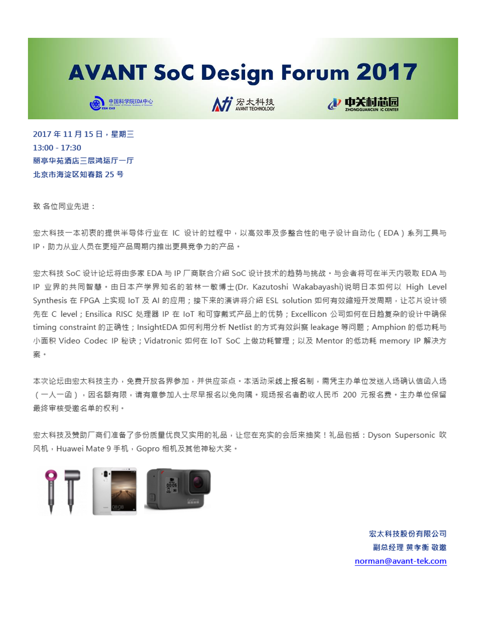## **AVANT SoC Design Forum 2017**



A# 宏太科技



2017年11月15日, 星期三  $13:00 - 17:30$ 丽亭华苑酒店三层鸿运厅一厅 北京市海淀区知春路 25号

致 各位同业先讲:

宏太科技一本初衷的提供半导体行业在 IC 设计的过程中,以高效率及多整合性的电子设计自动化(EDA)系列工具与 IP,助力从业人员在更短产品周期内推出更具竞争力的产品。

宏太科技 SoC 设计论坛将由多家 EDA 与 IP 厂商联合介绍 SoC 设计技术的趋势与挑战。与会者将可在半天内吸取 EDA 与 IP 业界的共同智慧。由日本产学界知名的若林一敏博士(Dr. Kazutoshi Wakabayashi)说明日本如何以 High Level Synthesis 在 FPGA 上实现 IoT 及 AI 的应用;接下来的演讲将介绍 ESL solution 如何有效缩短开发周期, 让芯片设计领 先在 C level ; Ensilica RISC 处理器 IP 在 IoT 和可穿戴式产品上的优势 ; Excellicon 公司如何在日趋复杂的设计中确保 timing constraint 的正确性;InsightEDA 如何利用分析 Netlist 的方式有效纠察 leakage 等问题;Amphion 的低功耗与 小面积 Video Codec IP 秘诀 ; Vidatronic 如何在 IoT SoC 上做功耗管理 ; 以及 Mentor 的低功耗 memory IP 解决方 室。

本次论坛由宏太科技主办,免费开放各界参加,并供应荼点。本活动采线上报名制,需凭主办单位发送入场确认信函入场 (一人一函),因名额有限,请有意参加人士尽早报名以免向隅。现场报名者酌收人民币 200 元报名费。主办单位保留 最终审核受激名单的权利。

宏太科技及赞助厂商们准备了多份质量优良又实用的礼品,让您在充实的会后来抽奖!礼品包括:Dyson Supersonic 吹 风机, Huawei Mate 9 手机, Gopro 相机及其他神秘大奖。



宏太科技股份有限公司 副总经理 黄孝衡 敬激 norman@avant-tek.com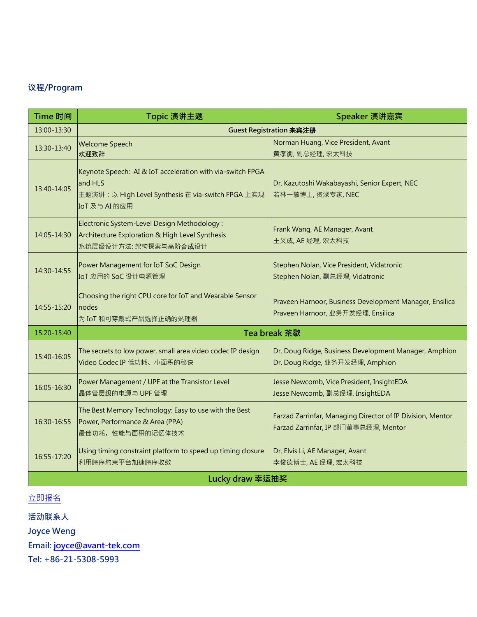## 议程/Program

| Time 时间         | Topic 演讲主题                                                                                                                                   | Speaker 演讲嘉宾                                                                                       |
|-----------------|----------------------------------------------------------------------------------------------------------------------------------------------|----------------------------------------------------------------------------------------------------|
| 13:00-13:30     | Guest Registration 来宾注册                                                                                                                      |                                                                                                    |
| 13:30-13:40     | <b>Welcome Speech</b><br>欢迎致辞                                                                                                                | Norman Huang, Vice President, Avant<br>黄孝衡, 副总经理, 宏太科技                                             |
| 13:40-14:05     | Keynote Speech: AI & IoT acceleration with via-switch FPGA<br>and HLS<br>主题演讲: 以 High Level Synthesis 在 via-switch FPGA 上实现<br>IoT 及与 AI 的应用 | Dr. Kazutoshi Wakabayashi, Senior Expert, NEC<br>若林一敏博士,资深专家, NEC                                  |
| 14:05-14:30     | Electronic System-Level Design Methodology:<br>Architecture Exploration & High Level Synthesis<br>系统层级设计方法: 架构探索与高阶合成设计                      | Frank Wang, AE Manager, Avant<br>王义成, AE 经理, 宏太科技                                                  |
| 14:30-14:55     | Power Management for IoT SoC Design<br>IoT 应用的 SoC 设计电源管理                                                                                    | Stephen Nolan, Vice President, Vidatronic<br>Stephen Nolan, 副总经理, Vidatronic                       |
| 14:55-15:20     | Choosing the right CPU core for IoT and Wearable Sensor<br>nodes<br>为 IoT 和可穿戴式产品选择正确的处理器                                                    | Praveen Harnoor, Business Development Manager, Ensilica<br>Praveen Harnoor, 业务开发经理, Ensilica       |
| 15:20-15:40     | Tea break 茶歇                                                                                                                                 |                                                                                                    |
| 15:40-16:05     | The secrets to low power, small area video codec IP design<br>Video Codec IP 低功耗、小面积的秘诀                                                      | Dr. Doug Ridge, Business Development Manager, Amphion<br>Dr. Doug Ridge, 业务开发经理, Amphion           |
| 16:05-16:30     | Power Management / UPF at the Transistor Level<br>晶体管层级的电源与 UPF 管理                                                                           | Jesse Newcomb, Vice President, InsightEDA<br>Jesse Newcomb, 副总经理, InsightEDA                       |
| 16:30-16:55     | The Best Memory Technology: Easy to use with the Best<br>Power, Performance & Area (PPA)<br>最佳功耗、性能与面积的记忆体技术                                 | Farzad Zarrinfar, Managing Director of IP Division, Mentor<br>Farzad Zarrinfar, IP 部门董事总经理, Mentor |
| 16:55-17:20     | Using timing constraint platform to speed up timing closure<br>利用時序約束平台加速時序收斂                                                                | Dr. Elvis Li, AE Manager, Avant<br>李俊德博士, AE 经理, 宏太科技                                              |
| Lucky draw 幸运抽奖 |                                                                                                                                              |                                                                                                    |

## [立即报名](https://wj.qq.com/s/1606965/98dc)

活动联系人

Joyce Weng

Email: [joyce@avant-tek.com](mailto:joyce@avant-tek.com)

Tel: +86-21-5308-5993